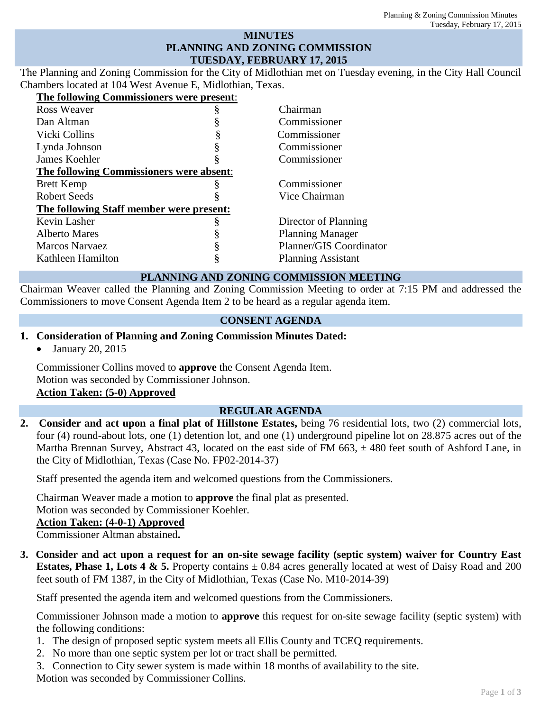### **MINUTES PLANNING AND ZONING COMMISSION TUESDAY, FEBRUARY 17, 2015**

The Planning and Zoning Commission for the City of Midlothian met on Tuesday evening, in the City Hall Council Chambers located at 104 West Avenue E, Midlothian, Texas.

| The following Commissioners were present: |                           |
|-------------------------------------------|---------------------------|
| <b>Ross Weaver</b>                        | Chairman                  |
| Dan Altman                                | Commissioner              |
| Vicki Collins                             | Commissioner              |
| Lynda Johnson                             | Commissioner              |
| James Koehler                             | Commissioner              |
| The following Commissioners were absent:  |                           |
| <b>Brett Kemp</b>                         | Commissioner              |
| <b>Robert Seeds</b>                       | Vice Chairman             |
| The following Staff member were present:  |                           |
| Kevin Lasher                              | Director of Planning      |
| <b>Alberto Mares</b>                      | <b>Planning Manager</b>   |
| Marcos Narvaez                            | Planner/GIS Coordinator   |
| Kathleen Hamilton                         | <b>Planning Assistant</b> |
|                                           |                           |

### **PLANNING AND ZONING COMMISSION MEETING**

Chairman Weaver called the Planning and Zoning Commission Meeting to order at 7:15 PM and addressed the Commissioners to move Consent Agenda Item 2 to be heard as a regular agenda item.

### **CONSENT AGENDA**

- **1. Consideration of Planning and Zoning Commission Minutes Dated:** 
	- January 20, 2015

Commissioner Collins moved to **approve** the Consent Agenda Item. Motion was seconded by Commissioner Johnson. **Action Taken: (5-0) Approved**

### **REGULAR AGENDA**

**2. Consider and act upon a final plat of Hillstone Estates,** being 76 residential lots, two (2) commercial lots, four (4) round-about lots, one (1) detention lot, and one (1) underground pipeline lot on 28.875 acres out of the Martha Brennan Survey, Abstract 43, located on the east side of FM 663,  $\pm$  480 feet south of Ashford Lane, in the City of Midlothian, Texas (Case No. FP02-2014-37)

Staff presented the agenda item and welcomed questions from the Commissioners.

Chairman Weaver made a motion to **approve** the final plat as presented.

Motion was seconded by Commissioner Koehler.

### **Action Taken: (4-0-1) Approved**

Commissioner Altman abstained**.**

**3. Consider and act upon a request for an on-site sewage facility (septic system) waiver for Country East Estates, Phase 1, Lots 4 & 5.** Property contains  $\pm$  0.84 acres generally located at west of Daisy Road and 200 feet south of FM 1387, in the City of Midlothian, Texas (Case No. M10-2014-39)

Staff presented the agenda item and welcomed questions from the Commissioners.

Commissioner Johnson made a motion to **approve** this request for on-site sewage facility (septic system) with the following conditions:

- 1. The design of proposed septic system meets all Ellis County and TCEQ requirements.
- 2. No more than one septic system per lot or tract shall be permitted.
- 3. Connection to City sewer system is made within 18 months of availability to the site.

Motion was seconded by Commissioner Collins.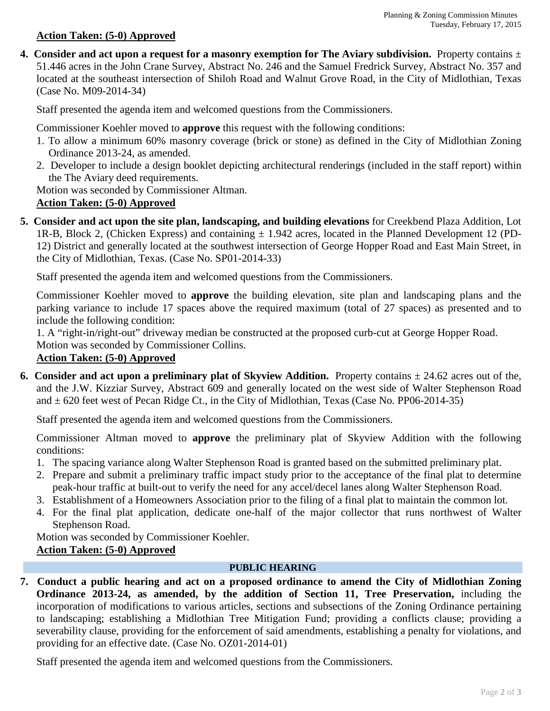#### **Action Taken: (5-0) Approved**

**4. Consider and act upon a request for a masonry exemption for The Aviary subdivision.** Property contains  $\pm$ 51.446 acres in the John Crane Survey, Abstract No. 246 and the Samuel Fredrick Survey, Abstract No. 357 and located at the southeast intersection of Shiloh Road and Walnut Grove Road, in the City of Midlothian, Texas (Case No. M09-2014-34)

Staff presented the agenda item and welcomed questions from the Commissioners.

Commissioner Koehler moved to **approve** this request with the following conditions:

- 1. To allow a minimum 60% masonry coverage (brick or stone) as defined in the City of Midlothian Zoning Ordinance 2013-24, as amended.
- 2. Developer to include a design booklet depicting architectural renderings (included in the staff report) within the The Aviary deed requirements.

Motion was seconded by Commissioner Altman.

# **Action Taken: (5-0) Approved**

**5. Consider and act upon the site plan, landscaping, and building elevations** for Creekbend Plaza Addition, Lot 1R-B, Block 2, (Chicken Express) and containing  $\pm$  1.942 acres, located in the Planned Development 12 (PD-12) District and generally located at the southwest intersection of George Hopper Road and East Main Street, in the City of Midlothian, Texas. (Case No. SP01-2014-33)

Staff presented the agenda item and welcomed questions from the Commissioners.

Commissioner Koehler moved to **approve** the building elevation, site plan and landscaping plans and the parking variance to include 17 spaces above the required maximum (total of 27 spaces) as presented and to include the following condition:

1. A "right-in/right-out" driveway median be constructed at the proposed curb-cut at George Hopper Road.

Motion was seconded by Commissioner Collins.

# **Action Taken: (5-0) Approved**

**6. Consider and act upon a preliminary plat of Skyview Addition.** Property contains  $\pm 24.62$  acres out of the, and the J.W. Kizziar Survey, Abstract 609 and generally located on the west side of Walter Stephenson Road and  $\pm$  620 feet west of Pecan Ridge Ct., in the City of Midlothian, Texas (Case No. PP06-2014-35)

Staff presented the agenda item and welcomed questions from the Commissioners.

Commissioner Altman moved to **approve** the preliminary plat of Skyview Addition with the following conditions:

- 1. The spacing variance along Walter Stephenson Road is granted based on the submitted preliminary plat.
- 2. Prepare and submit a preliminary traffic impact study prior to the acceptance of the final plat to determine peak-hour traffic at built-out to verify the need for any accel/decel lanes along Walter Stephenson Road.
- 3. Establishment of a Homeowners Association prior to the filing of a final plat to maintain the common lot.
- 4. For the final plat application, dedicate one-half of the major collector that runs northwest of Walter Stephenson Road.

Motion was seconded by Commissioner Koehler.

# **Action Taken: (5-0) Approved**

### **PUBLIC HEARING**

**7. Conduct a public hearing and act on a proposed ordinance to amend the City of Midlothian Zoning Ordinance 2013-24, as amended, by the addition of Section 11, Tree Preservation,** including the incorporation of modifications to various articles, sections and subsections of the Zoning Ordinance pertaining to landscaping; establishing a Midlothian Tree Mitigation Fund; providing a conflicts clause; providing a severability clause, providing for the enforcement of said amendments, establishing a penalty for violations, and providing for an effective date. (Case No. OZ01-2014-01)

Staff presented the agenda item and welcomed questions from the Commissioners.